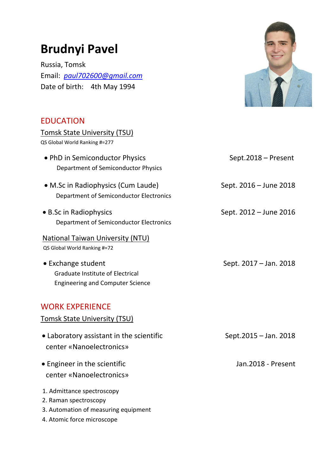# **Brudnyi Pavel**

Russia, Tomsk Email: *[paul702600@gmail.com](mailto:paul702600@gmail.com)* Date of birth: 4th May 1994



### EDUCATION

| Tomsk State University (TSU)                                                                      |                        |
|---------------------------------------------------------------------------------------------------|------------------------|
| QS Global World Ranking #=277                                                                     |                        |
| • PhD in Semiconductor Physics<br>Department of Semiconductor Physics                             | Sept.2018 - Present    |
| • M.Sc in Radiophysics (Cum Laude)<br>Department of Semiconductor Electronics                     | Sept. 2016 – June 2018 |
| • B.Sc in Radiophysics<br>Department of Semiconductor Electronics                                 | Sept. 2012 - June 2016 |
| <b>National Taiwan University (NTU)</b><br>QS Global World Ranking #=72                           |                        |
| • Exchange student<br>Graduate Institute of Electrical<br><b>Engineering and Computer Science</b> | Sept. 2017 – Jan. 2018 |
| <b>WORK EXPERIENCE</b><br><b>Tomsk State University (TSU)</b>                                     |                        |
| • Laboratory assistant in the scientific<br>center «Nanoelectronics»                              | Sept.2015 - Jan. 2018  |
| • Engineer in the scientific<br>center «Nanoelectronics»                                          | Jan.2018 - Present     |
| 1. Admittance spectroscopy<br>2. Raman spectroscopy                                               |                        |

- 3. Automation of measuring equipment
- 4. Atomic force miсrоsсоре